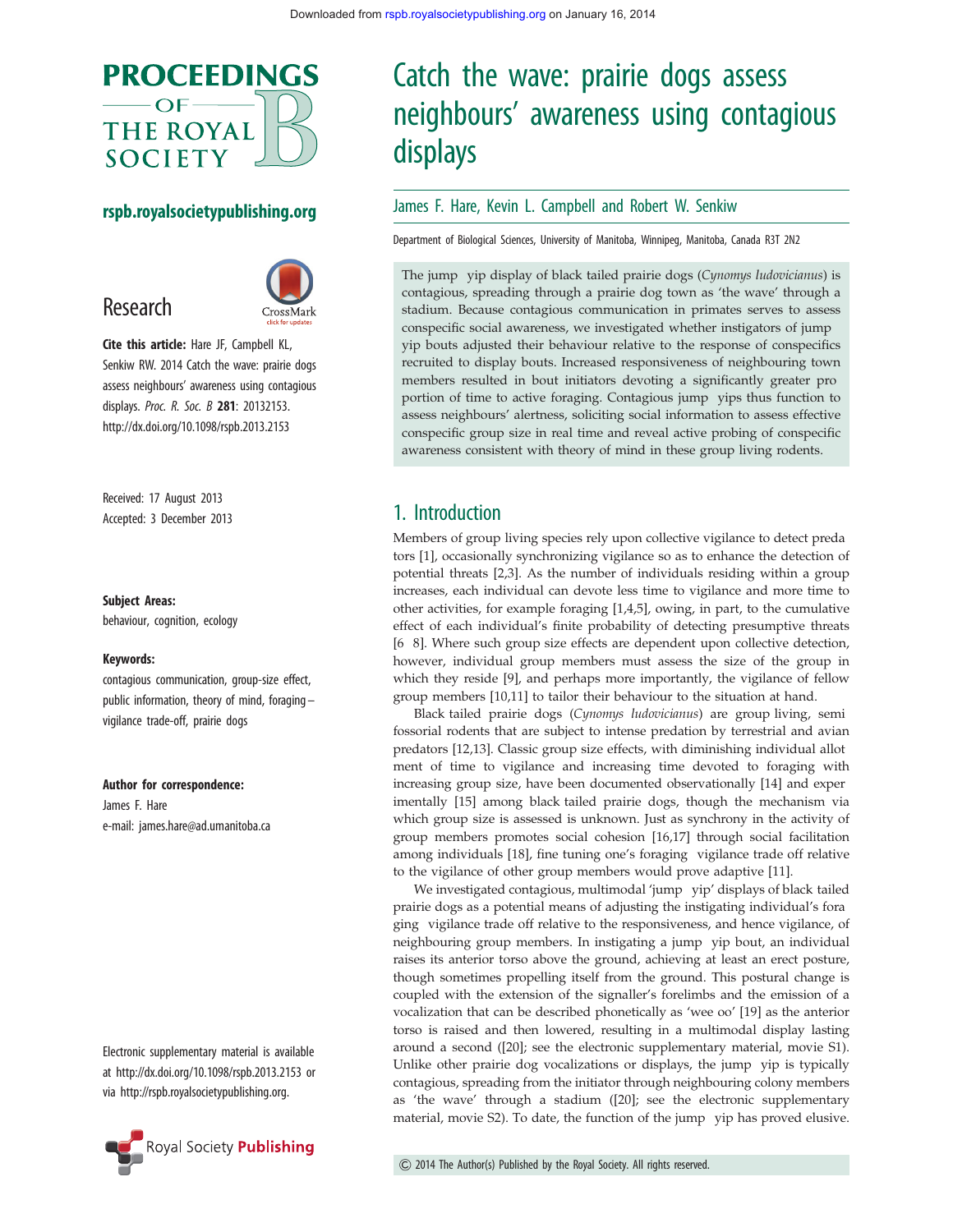

#### rspb.royalsocietypublishing.org



Cite this article: Hare JF, Campbell KL, Senkiw RW. 2014 Catch the wave: prairie dogs assess neighbours' awareness using contagious displays. Proc. R. Soc. B 281: 20132153. http://dx.doi.org/10.1098/rspb.2013.2153

Received: 17 August 2013 Accepted: 3 December 2013

#### Subject Areas:

Research

behaviour, cognition, ecology

#### Keywords:

contagious communication, group-size effect, public information, theory of mind, foraging – vigilance trade-off, prairie dogs

Author for correspondence:

James F. Hare e-mail: james.hare@ad.umanitoba.ca

Electronic supplementary material is available at http://dx.doi.org/10.1098/rspb.2013.2153 or via http://rspb.royalsocietypublishing.org.



# Catch the wave: prairie dogs assess neighbours' awareness using contagious displays

#### James F. Hare, Kevin L. Campbell and Robert W. Senkiw

Department of Biological Sciences, University of Manitoba, Winnipeg, Manitoba, Canada R3T 2N2

The jump yip display of black tailed prairie dogs (Cynomys ludovicianus) is contagious, spreading through a prairie dog town as 'the wave' through a stadium. Because contagious communication in primates serves to assess conspecific social awareness, we investigated whether instigators of jump yip bouts adjusted their behaviour relative to the response of conspecifics recruited to display bouts. Increased responsiveness of neighbouring town members resulted in bout initiators devoting a significantly greater pro portion of time to active foraging. Contagious jump yips thus function to assess neighbours' alertness, soliciting social information to assess effective conspecific group size in real time and reveal active probing of conspecific awareness consistent with theory of mind in these group living rodents.

## 1. Introduction

Members of group living species rely upon collective vigilance to detect preda tors [1], occasionally synchronizing vigilance so as to enhance the detection of potential threats [2,3]. As the number of individuals residing within a group increases, each individual can devote less time to vigilance and more time to other activities, for example foraging [1,4,5], owing, in part, to the cumulative effect of each individual's finite probability of detecting presumptive threats [6 8]. Where such group size effects are dependent upon collective detection, however, individual group members must assess the size of the group in which they reside [9], and perhaps more importantly, the vigilance of fellow group members [10,11] to tailor their behaviour to the situation at hand.

Black tailed prairie dogs (Cynomys ludovicianus) are group living, semi fossorial rodents that are subject to intense predation by terrestrial and avian predators [12,13]. Classic group size effects, with diminishing individual allot ment of time to vigilance and increasing time devoted to foraging with increasing group size, have been documented observationally [14] and exper imentally [15] among black tailed prairie dogs, though the mechanism via which group size is assessed is unknown. Just as synchrony in the activity of group members promotes social cohesion [16,17] through social facilitation among individuals [18], fine tuning one's foraging vigilance trade off relative to the vigilance of other group members would prove adaptive [11].

We investigated contagious, multimodal 'jump yip' displays of black tailed prairie dogs as a potential means of adjusting the instigating individual's fora ging vigilance trade off relative to the responsiveness, and hence vigilance, of neighbouring group members. In instigating a jump yip bout, an individual raises its anterior torso above the ground, achieving at least an erect posture, though sometimes propelling itself from the ground. This postural change is coupled with the extension of the signaller's forelimbs and the emission of a vocalization that can be described phonetically as 'wee oo' [19] as the anterior torso is raised and then lowered, resulting in a multimodal display lasting around a second ([20]; see the electronic supplementary material, movie S1). Unlike other prairie dog vocalizations or displays, the jump yip is typically contagious, spreading from the initiator through neighbouring colony members as 'the wave' through a stadium ([20]; see the electronic supplementary material, movie S2). To date, the function of the jump yip has proved elusive.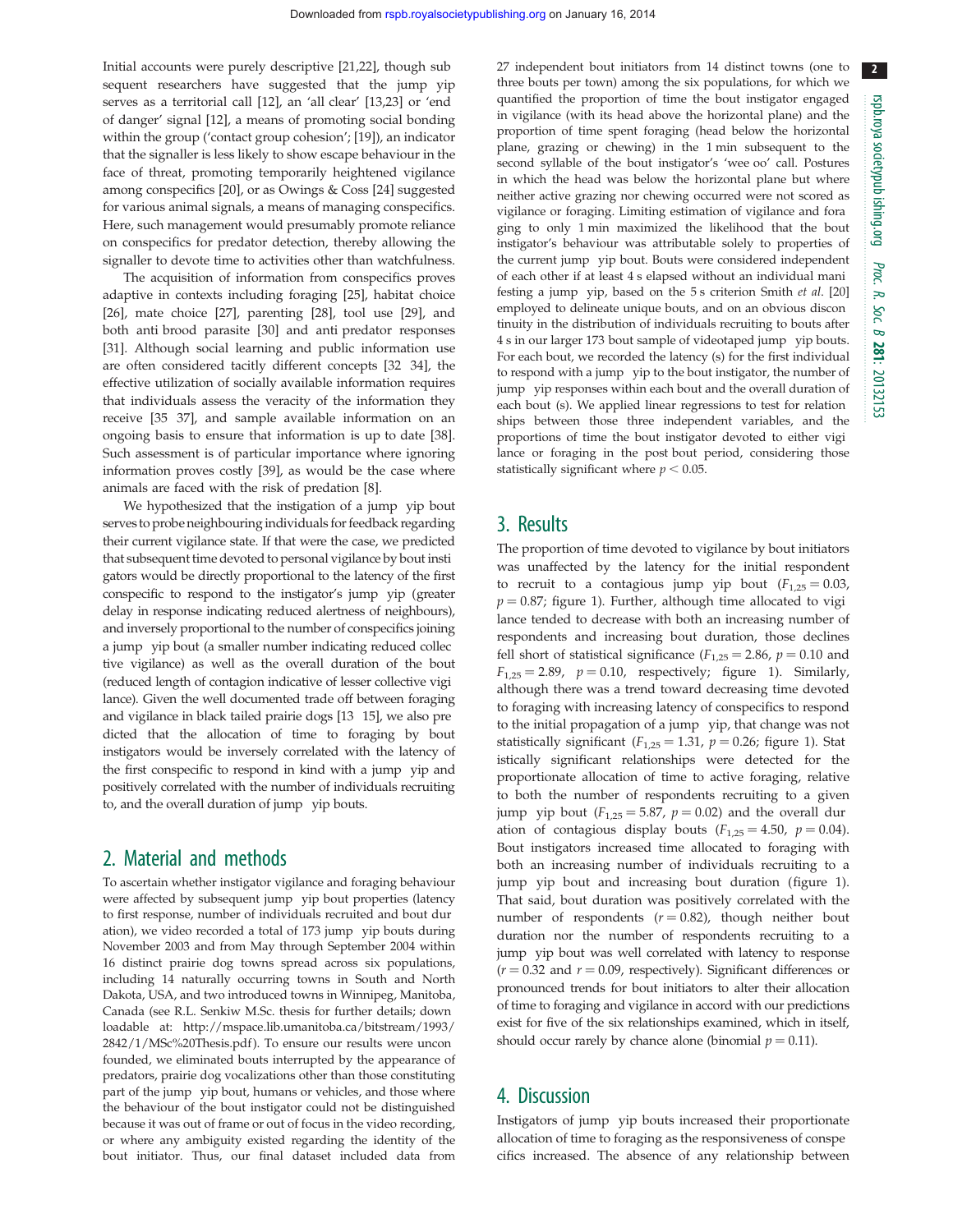Initial accounts were purely descriptive [21,22], though sub sequent researchers have suggested that the jump yip serves as a territorial call [12], an 'all clear' [13,23] or 'end of danger' signal [12], a means of promoting social bonding within the group ('contact group cohesion'; [19]), an indicator that the signaller is less likely to show escape behaviour in the face of threat, promoting temporarily heightened vigilance among conspecifics [20], or as Owings & Coss [24] suggested for various animal signals, a means of managing conspecifics. Here, such management would presumably promote reliance on conspecifics for predator detection, thereby allowing the signaller to devote time to activities other than watchfulness.

The acquisition of information from conspecifics proves adaptive in contexts including foraging [25], habitat choice [26], mate choice [27], parenting [28], tool use [29], and both anti brood parasite [30] and anti predator responses [31]. Although social learning and public information use are often considered tacitly different concepts [32 34], the effective utilization of socially available information requires that individuals assess the veracity of the information they receive [35 37], and sample available information on an ongoing basis to ensure that information is up to date [38]. Such assessment is of particular importance where ignoring information proves costly [39], as would be the case where animals are faced with the risk of predation [8].

We hypothesized that the instigation of a jump yip bout serves to probe neighbouring individuals for feedback regarding their current vigilance state. If that were the case, we predicted that subsequent time devoted to personal vigilance by bout insti gators would be directly proportional to the latency of the first conspecific to respond to the instigator's jump yip (greater delay in response indicating reduced alertness of neighbours), and inversely proportional to the number of conspecifics joining a jump yip bout (a smaller number indicating reduced collec tive vigilance) as well as the overall duration of the bout (reduced length of contagion indicative of lesser collective vigi lance). Given the well documented trade off between foraging and vigilance in black tailed prairie dogs [13 15], we also pre dicted that the allocation of time to foraging by bout instigators would be inversely correlated with the latency of the first conspecific to respond in kind with a jump yip and positively correlated with the number of individuals recruiting to, and the overall duration of jump yip bouts.

## 2. Material and methods

To ascertain whether instigator vigilance and foraging behaviour were affected by subsequent jump yip bout properties (latency to first response, number of individuals recruited and bout dur ation), we video recorded a total of 173 jump yip bouts during November 2003 and from May through September 2004 within 16 distinct prairie dog towns spread across six populations, including 14 naturally occurring towns in South and North Dakota, USA, and two introduced towns in Winnipeg, Manitoba, Canada (see R.L. Senkiw M.Sc. thesis for further details; down loadable at: http://mspace.lib.umanitoba.ca/bitstream/1993/ 2842/1/MSc%20Thesis.pdf ). To ensure our results were uncon founded, we eliminated bouts interrupted by the appearance of predators, prairie dog vocalizations other than those constituting part of the jump yip bout, humans or vehicles, and those where the behaviour of the bout instigator could not be distinguished because it was out of frame or out of focus in the video recording, or where any ambiguity existed regarding the identity of the bout initiator. Thus, our final dataset included data from

27 independent bout initiators from 14 distinct towns (one to three bouts per town) among the six populations, for which we quantified the proportion of time the bout instigator engaged in vigilance (with its head above the horizontal plane) and the proportion of time spent foraging (head below the horizontal plane, grazing or chewing) in the 1 min subsequent to the second syllable of the bout instigator's 'wee oo' call. Postures in which the head was below the horizontal plane but where neither active grazing nor chewing occurred were not scored as vigilance or foraging. Limiting estimation of vigilance and fora ging to only 1 min maximized the likelihood that the bout instigator's behaviour was attributable solely to properties of the current jump yip bout. Bouts were considered independent of each other if at least 4 s elapsed without an individual mani festing a jump yip, based on the 5 s criterion Smith et al. [20] employed to delineate unique bouts, and on an obvious discon tinuity in the distribution of individuals recruiting to bouts after 4 s in our larger 173 bout sample of videotaped jump yip bouts. For each bout, we recorded the latency (s) for the first individual to respond with a jump yip to the bout instigator, the number of jump yip responses within each bout and the overall duration of each bout (s). We applied linear regressions to test for relation ships between those three independent variables, and the proportions of time the bout instigator devoted to either vigi lance or foraging in the post bout period, considering those statistically significant where  $p < 0.05.$ 

## 3. Results

The proportion of time devoted to vigilance by bout initiators was unaffected by the latency for the initial respondent to recruit to a contagious jump yip bout  $(F_{1,25} = 0.03,$  $p = 0.87$ ; figure 1). Further, although time allocated to vigi lance tended to decrease with both an increasing number of respondents and increasing bout duration, those declines fell short of statistical significance ( $F_{1,25} = 2.86$ ,  $p = 0.10$  and  $F_{1,25} = 2.89$ ,  $p = 0.10$ , respectively; figure 1). Similarly, although there was a trend toward decreasing time devoted to foraging with increasing latency of conspecifics to respond to the initial propagation of a jump yip, that change was not statistically significant ( $F_{1,25} = 1.31$ ,  $p = 0.26$ ; figure 1). Stat istically significant relationships were detected for the proportionate allocation of time to active foraging, relative to both the number of respondents recruiting to a given jump yip bout  $(F_{1,25} = 5.87, p = 0.02)$  and the overall dur ation of contagious display bouts  $(F_{1,25} = 4.50, p = 0.04)$ . Bout instigators increased time allocated to foraging with both an increasing number of individuals recruiting to a jump yip bout and increasing bout duration (figure 1). That said, bout duration was positively correlated with the number of respondents  $(r = 0.82)$ , though neither bout duration nor the number of respondents recruiting to a jump yip bout was well correlated with latency to response  $(r = 0.32$  and  $r = 0.09$ , respectively). Significant differences or pronounced trends for bout initiators to alter their allocation of time to foraging and vigilance in accord with our predictions exist for five of the six relationships examined, which in itself, should occur rarely by chance alone (binomial  $p = 0.11$ ).

## 4. Discussion

Instigators of jump yip bouts increased their proportionate allocation of time to foraging as the responsiveness of conspe cifics increased. The absence of any relationship between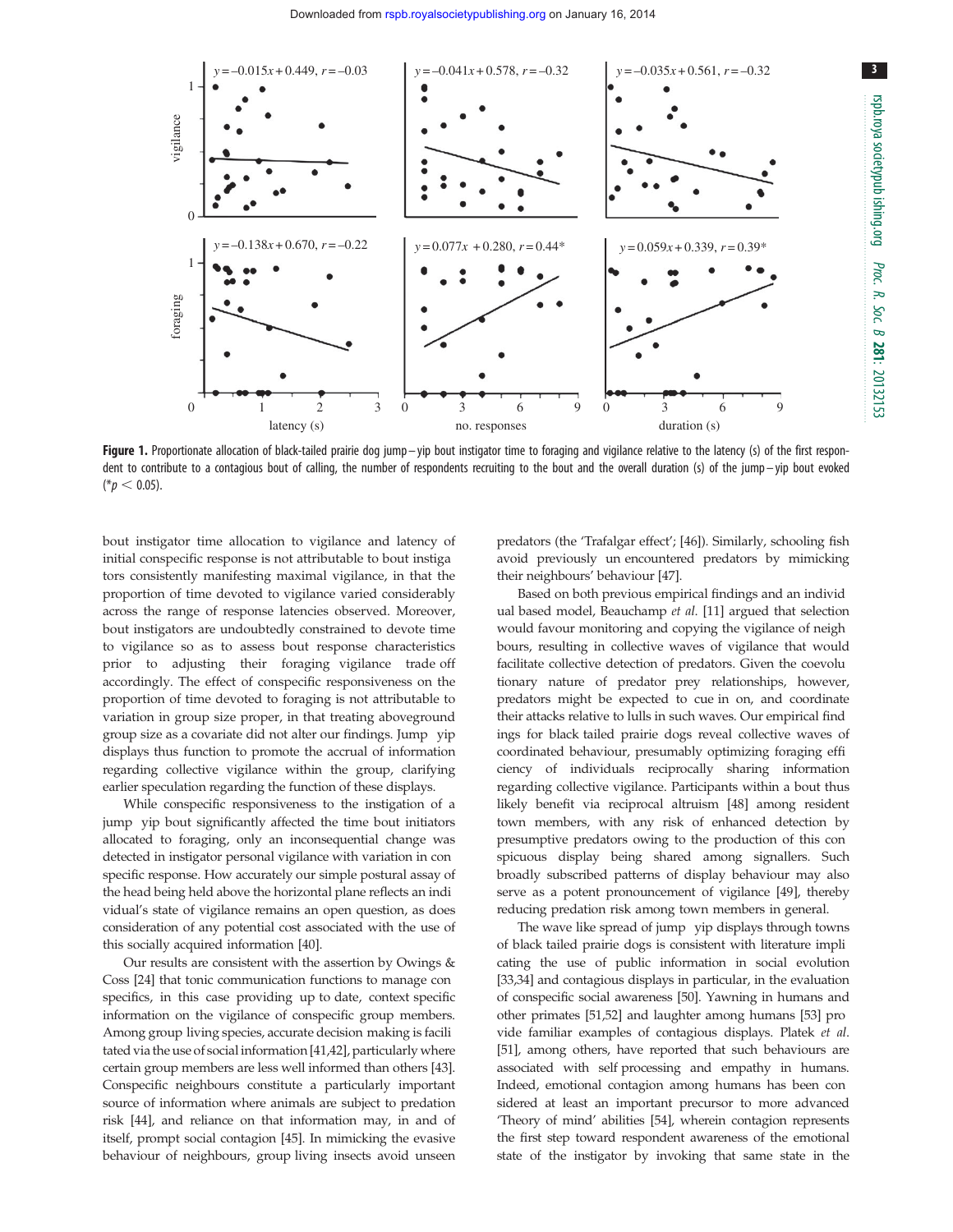

Figure 1. Proportionate allocation of black-tailed prairie dog jump-yip bout instigator time to foraging and vigilance relative to the latency (s) of the first respondent to contribute to a contagious bout of calling, the number of respondents recruiting to the bout and the overall duration (s) of the jump – yip bout evoked  $(*p < 0.05).$ 

bout instigator time allocation to vigilance and latency of initial conspecific response is not attributable to bout instiga tors consistently manifesting maximal vigilance, in that the proportion of time devoted to vigilance varied considerably across the range of response latencies observed. Moreover, bout instigators are undoubtedly constrained to devote time to vigilance so as to assess bout response characteristics prior to adjusting their foraging vigilance trade off accordingly. The effect of conspecific responsiveness on the proportion of time devoted to foraging is not attributable to variation in group size proper, in that treating aboveground group size as a covariate did not alter our findings. Jump yip displays thus function to promote the accrual of information regarding collective vigilance within the group, clarifying earlier speculation regarding the function of these displays.

While conspecific responsiveness to the instigation of a jump yip bout significantly affected the time bout initiators allocated to foraging, only an inconsequential change was detected in instigator personal vigilance with variation in con specific response. How accurately our simple postural assay of the head being held above the horizontal plane reflects an indi vidual's state of vigilance remains an open question, as does consideration of any potential cost associated with the use of this socially acquired information [40].

Our results are consistent with the assertion by Owings & Coss [24] that tonic communication functions to manage con specifics, in this case providing up to date, context specific information on the vigilance of conspecific group members. Among group living species, accurate decision making is facili tated via the use of social information [41,42], particularly where certain group members are less well informed than others [43]. Conspecific neighbours constitute a particularly important source of information where animals are subject to predation risk [44], and reliance on that information may, in and of itself, prompt social contagion [45]. In mimicking the evasive behaviour of neighbours, group living insects avoid unseen predators (the 'Trafalgar effect'; [46]). Similarly, schooling fish avoid previously un encountered predators by mimicking their neighbours' behaviour [47].

Based on both previous empirical findings and an individ ual based model, Beauchamp et al. [11] argued that selection would favour monitoring and copying the vigilance of neigh bours, resulting in collective waves of vigilance that would facilitate collective detection of predators. Given the coevolu tionary nature of predator prey relationships, however, predators might be expected to cue in on, and coordinate their attacks relative to lulls in such waves. Our empirical find ings for black tailed prairie dogs reveal collective waves of coordinated behaviour, presumably optimizing foraging effi ciency of individuals reciprocally sharing information regarding collective vigilance. Participants within a bout thus likely benefit via reciprocal altruism [48] among resident town members, with any risk of enhanced detection by presumptive predators owing to the production of this con spicuous display being shared among signallers. Such broadly subscribed patterns of display behaviour may also serve as a potent pronouncement of vigilance [49], thereby reducing predation risk among town members in general.

The wave like spread of jump yip displays through towns of black tailed prairie dogs is consistent with literature impli cating the use of public information in social evolution [33,34] and contagious displays in particular, in the evaluation of conspecific social awareness [50]. Yawning in humans and other primates [51,52] and laughter among humans [53] pro vide familiar examples of contagious displays. Platek et al. [51], among others, have reported that such behaviours are associated with self processing and empathy in humans. Indeed, emotional contagion among humans has been con sidered at least an important precursor to more advanced 'Theory of mind' abilities [54], wherein contagion represents the first step toward respondent awareness of the emotional state of the instigator by invoking that same state in the 3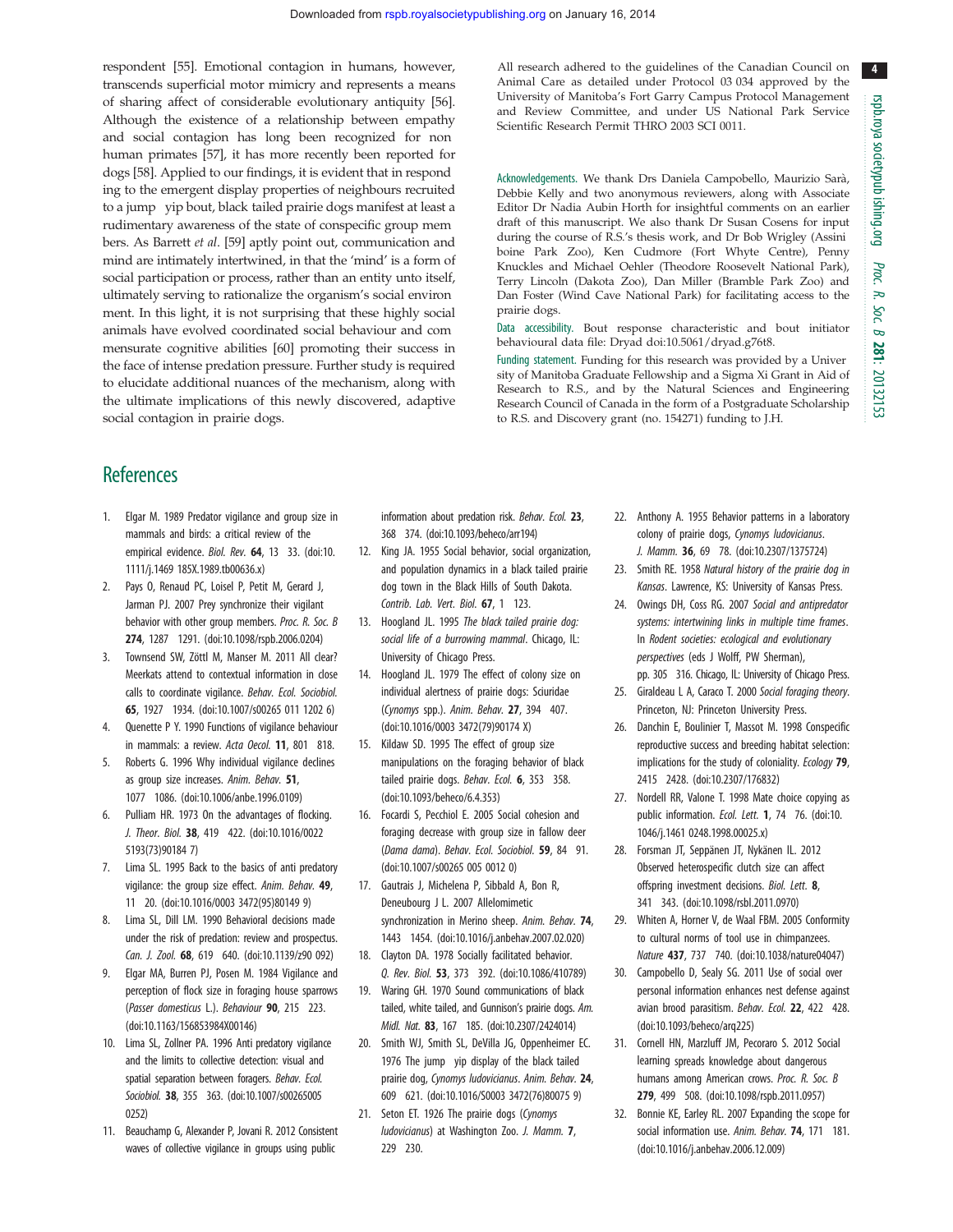4

respondent [55]. Emotional contagion in humans, however, transcends superficial motor mimicry and represents a means of sharing affect of considerable evolutionary antiquity [56]. Although the existence of a relationship between empathy and social contagion has long been recognized for non human primates [57], it has more recently been reported for dogs [58]. Applied to our findings, it is evident that in respond ing to the emergent display properties of neighbours recruited to a jump yip bout, black tailed prairie dogs manifest at least a rudimentary awareness of the state of conspecific group mem bers. As Barrett et al. [59] aptly point out, communication and mind are intimately intertwined, in that the 'mind' is a form of social participation or process, rather than an entity unto itself, ultimately serving to rationalize the organism's social environ ment. In this light, it is not surprising that these highly social animals have evolved coordinated social behaviour and com mensurate cognitive abilities [60] promoting their success in the face of intense predation pressure. Further study is required to elucidate additional nuances of the mechanism, along with the ultimate implications of this newly discovered, adaptive social contagion in prairie dogs.

All research adhered to the guidelines of the Canadian Council on Animal Care as detailed under Protocol 03 034 approved by the University of Manitoba's Fort Garry Campus Protocol Management and Review Committee, and under US National Park Service Scientific Research Permit THRO 2003 SCI 0011.

Acknowledgements. We thank Drs Daniela Campobello, Maurizio Sarà, Debbie Kelly and two anonymous reviewers, along with Associate Editor Dr Nadia Aubin Horth for insightful comments on an earlier draft of this manuscript. We also thank Dr Susan Cosens for input during the course of R.S.'s thesis work, and Dr Bob Wrigley (Assini boine Park Zoo), Ken Cudmore (Fort Whyte Centre), Penny Knuckles and Michael Oehler (Theodore Roosevelt National Park), Terry Lincoln (Dakota Zoo), Dan Miller (Bramble Park Zoo) and Dan Foster (Wind Cave National Park) for facilitating access to the prairie dogs.

Data accessibility. Bout response characteristic and bout initiator behavioural data file: Dryad doi:10.5061/dryad.g76t8.

Funding statement. Funding for this research was provided by a Univer sity of Manitoba Graduate Fellowship and a Sigma Xi Grant in Aid of Research to R.S., and by the Natural Sciences and Engineering Research Council of Canada in the form of a Postgraduate Scholarship to R.S. and Discovery grant (no. 154271) funding to J.H.

# **References**

- 1. Elgar M. 1989 Predator vigilance and group size in mammals and birds: a critical review of the empirical evidence. Biol. Rev. 64, 13 33. (doi:10. 1111/j.1469 185X.1989.tb00636.x)
- Pays O, Renaud PC, Loisel P, Petit M, Gerard J, Jarman PJ. 2007 Prey synchronize their vigilant behavior with other group members. Proc. R. Soc. B 274, 1287 1291. (doi:10.1098/rspb.2006.0204)
- 3. Townsend SW, Zöttl M, Manser M. 2011 All clear? Meerkats attend to contextual information in close calls to coordinate vigilance. Behav. Ecol. Sociobiol. 65, 1927 1934. (doi:10.1007/s00265 011 1202 6)
- Quenette P Y. 1990 Functions of vigilance behaviour in mammals: a review. Acta Oecol. 11, 801 818.
- Roberts G. 1996 Why individual vigilance declines as group size increases. Anim. Behav. 51, 1077 1086. (doi:10.1006/anbe.1996.0109)
- 6. Pulliam HR. 1973 On the advantages of flocking. J. Theor. Biol. 38, 419 422. (doi:10.1016/0022 5193(73)90184 7)
- 7. Lima SL. 1995 Back to the basics of anti predatory vigilance: the group size effect. Anim. Behav. 49, 11 20. (doi:10.1016/0003 3472(95)80149 9)
- 8. Lima SL, Dill LM. 1990 Behavioral decisions made under the risk of predation: review and prospectus. Can. J. Zool. 68, 619 640. (doi:10.1139/z90 092)
- 9. Elgar MA, Burren PJ, Posen M. 1984 Vigilance and perception of flock size in foraging house sparrows (Passer domesticus L.). Behaviour 90, 215 223. (doi:10.1163/156853984X00146)
- 10. Lima SL, Zollner PA. 1996 Anti predatory vigilance and the limits to collective detection: visual and spatial separation between foragers. Behav. Ecol. Sociobiol. 38, 355 363. (doi:10.1007/s00265005 0252)
- 11. Beauchamp G, Alexander P, Jovani R. 2012 Consistent waves of collective vigilance in groups using public

information about predation risk. Behav. Ecol. 23, 368 374. (doi:10.1093/beheco/arr194)

- 12. King JA. 1955 Social behavior, social organization, and population dynamics in a black tailed prairie dog town in the Black Hills of South Dakota. Contrib. Lab. Vert. Biol. 67, 1 123.
- 13. Hoogland JL. 1995 The black tailed prairie dog: social life of a burrowing mammal. Chicago, IL: University of Chicago Press.
- 14. Hoogland JL. 1979 The effect of colony size on individual alertness of prairie dogs: Sciuridae (Cynomys spp.). Anim. Behav. 27, 394 407. (doi:10.1016/0003 3472(79)90174 X)
- 15. Kildaw SD. 1995 The effect of group size manipulations on the foraging behavior of black tailed prairie dogs. Behav. Ecol. 6, 353 358. (doi:10.1093/beheco/6.4.353)
- 16. Focardi S, Pecchiol E. 2005 Social cohesion and foraging decrease with group size in fallow deer (Dama dama). Behav. Ecol. Sociobiol. 59, 84 91. (doi:10.1007/s00265 005 0012 0)
- 17. Gautrais J, Michelena P, Sibbald A, Bon R, Deneubourg J L. 2007 Allelomimetic synchronization in Merino sheep. Anim. Behav. 74, 1443 1454. (doi:10.1016/j.anbehav.2007.02.020)
- 18. Clayton DA. 1978 Socially facilitated behavior. Q. Rev. Biol. 53, 373 392. (doi:10.1086/410789)
- 19. Waring GH. 1970 Sound communications of black tailed, white tailed, and Gunnison's prairie dogs. Am. Midl. Nat. 83, 167 185. (doi:10.2307/2424014)
- 20. Smith WJ, Smith SL, DeVilla JG, Oppenheimer EC. 1976 The jump yip display of the black tailed prairie dog, Cynomys ludovicianus. Anim. Behav. 24, 609 621. (doi:10.1016/S0003 3472(76)80075 9)
- 21. Seton ET. 1926 The prairie dogs (Cynomys ludovicianus) at Washington Zoo. J. Mamm. 7, 229 230.
- 22. Anthony A. 1955 Behavior patterns in a laboratory colony of prairie dogs, Cynomys ludovicianus. J. Mamm. 36, 69 78. (doi:10.2307/1375724)
- 23. Smith RE. 1958 Natural history of the prairie dog in Kansas. Lawrence, KS: University of Kansas Press.
- 24. Owings DH, Coss RG. 2007 Social and antipredator systems: intertwining links in multiple time frames. In Rodent societies: ecological and evolutionary perspectives (eds J Wolff, PW Sherman), pp. 305 316. Chicago, IL: University of Chicago Press.
- 25. Giraldeau L A, Caraco T. 2000 Social foraging theory. Princeton, NJ: Princeton University Press.
- 26. Danchin E, Boulinier T, Massot M. 1998 Conspecific reproductive success and breeding habitat selection: implications for the study of coloniality. Ecology 79, 2415 2428. (doi:10.2307/176832)
- 27. Nordell RR, Valone T. 1998 Mate choice copying as public information. Ecol. Lett. 1, 74 76. (doi:10. 1046/j.1461 0248.1998.00025.x)
- 28. Forsman JT, Seppänen JT, Nykänen IL. 2012 Observed heterospecific clutch size can affect offspring investment decisions. Biol. Lett. 8, 341 343. (doi:10.1098/rsbl.2011.0970)
- 29. Whiten A, Horner V, de Waal FBM. 2005 Conformity to cultural norms of tool use in chimpanzees. Nature 437, 737 740. (doi:10.1038/nature04047)
- 30. Campobello D, Sealy SG. 2011 Use of social over personal information enhances nest defense against avian brood parasitism. Behav. Ecol. 22, 422 428. (doi:10.1093/beheco/arq225)
- 31. Cornell HN, Marzluff JM, Pecoraro S. 2012 Social learning spreads knowledge about dangerous humans among American crows. Proc. R. Soc. B 279, 499 508. (doi:10.1098/rspb.2011.0957)
- 32. Bonnie KE, Earley RL. 2007 Expanding the scope for social information use. Anim. Behav. 74, 171 181. (doi:10.1016/j.anbehav.2006.12.009)